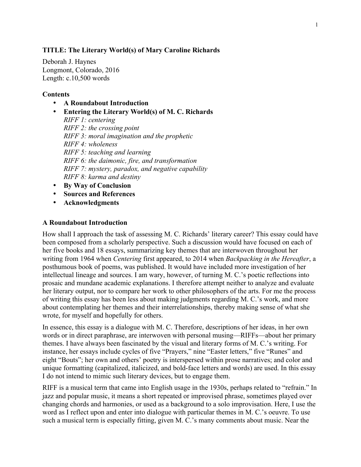# **TITLE: The Literary World(s) of Mary Caroline Richards**

Deborah J. Haynes Longmont, Colorado, 2016 Length: c.10,500 words

# **Contents**

- **A Roundabout Introduction**
- **Entering the Literary World(s) of M. C. Richards** *RIFF 1: centering RIFF 2: the crossing point RIFF 3: moral imagination and the prophetic RIFF 4: wholeness RIFF 5: teaching and learning RIFF 6: the daimonic, fire, and transformation RIFF 7: mystery, paradox, and negative capability RIFF 8: karma and destiny*
- **By Way of Conclusion**
- **Sources and References**
- **Acknowledgments**

#### **A Roundabout Introduction**

How shall I approach the task of assessing M. C. Richards' literary career? This essay could have been composed from a scholarly perspective. Such a discussion would have focused on each of her five books and 18 essays, summarizing key themes that are interwoven throughout her writing from 1964 when *Centering* first appeared, to 2014 when *Backpacking in the Hereafter*, a posthumous book of poems, was published. It would have included more investigation of her intellectual lineage and sources. I am wary, however, of turning M. C.'s poetic reflections into prosaic and mundane academic explanations. I therefore attempt neither to analyze and evaluate her literary output, nor to compare her work to other philosophers of the arts. For me the process of writing this essay has been less about making judgments regarding M. C.'s work, and more about contemplating her themes and their interrelationships, thereby making sense of what she wrote, for myself and hopefully for others.

In essence, this essay is a dialogue with M. C. Therefore, descriptions of her ideas, in her own words or in direct paraphrase, are interwoven with personal musing—RIFFs—about her primary themes. I have always been fascinated by the visual and literary forms of M. C.'s writing. For instance, her essays include cycles of five "Prayers," nine "Easter letters," five "Runes" and eight "Bouts"; her own and others' poetry is interspersed within prose narratives; and color and unique formatting (capitalized, italicized, and bold-face letters and words) are used. In this essay I do not intend to mimic such literary devices, but to engage them.

RIFF is a musical term that came into English usage in the 1930s, perhaps related to "refrain." In jazz and popular music, it means a short repeated or improvised phrase, sometimes played over changing chords and harmonies, or used as a background to a solo improvisation. Here, I use the word as I reflect upon and enter into dialogue with particular themes in M. C.'s oeuvre. To use such a musical term is especially fitting, given M. C.'s many comments about music. Near the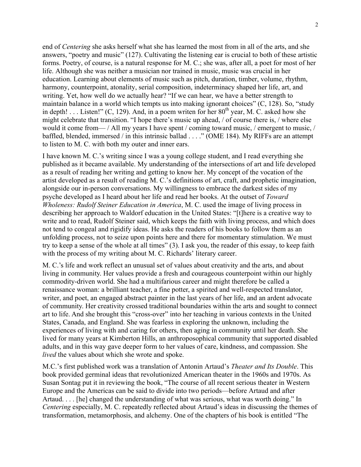end of *Centering* she asks herself what she has learned the most from in all of the arts, and she answers, "poetry and music" (127). Cultivating the listening ear is crucial to both of these artistic forms. Poetry, of course, is a natural response for M. C.; she was, after all, a poet for most of her life. Although she was neither a musician nor trained in music, music was crucial in her education. Learning about elements of music such as pitch, duration, timber, volume, rhythm, harmony, counterpoint, atonality, serial composition, indeterminacy shaped her life, art, and writing. Yet, how well do we actually hear? "If we can hear, we have a better strength to maintain balance in a world which tempts us into making ignorant choices" (C, 128). So, "study in depth! . . . Listen!"  $(C, 129)$ . And, in a poem writen for her  $80<sup>th</sup>$  year, M. C. asked how she might celebrate that transition. "I hope there's music up ahead, / of course there is, / where else would it come from— / All my years I have spent / coming toward music, / emergent to music, / baffled, blended, immersed / in this intrinsic ballad . . . ." (OME 184). My RIFFs are an attempt to listen to M. C. with both my outer and inner ears.

I have known M. C.'s writing since I was a young college student, and I read everything she published as it became available. My understanding of the intersections of art and life developed as a result of reading her writing and getting to know her. My concept of the vocation of the artist developed as a result of reading M. C.'s definitions of art, craft, and prophetic imagination, alongside our in-person conversations. My willingness to embrace the darkest sides of my psyche developed as I heard about her life and read her books. At the outset of *Toward Wholeness: Rudolf Steiner Education in America*, M. C. used the image of living process in describing her approach to Waldorf education in the United States: "[t]here is a creative way to write and to read, Rudolf Steiner said, which keeps the faith with living process, and which does not tend to congeal and rigidify ideas. He asks the readers of his books to follow them as an unfolding process, not to seize upon points here and there for momentary stimulation. We must try to keep a sense of the whole at all times" (3). I ask you, the reader of this essay, to keep faith with the process of my writing about M. C. Richards' literary career.

M. C.'s life and work reflect an unusual set of values about creativity and the arts, and about living in community. Her values provide a fresh and courageous counterpoint within our highly commodity-driven world. She had a multifarious career and might therefore be called a renaissance woman: a brilliant teacher, a fine potter, a spirited and well-respected translator, writer, and poet, an engaged abstract painter in the last years of her life, and an ardent advocate of community. Her creativity crossed traditional boundaries within the arts and sought to connect art to life. And she brought this "cross-over" into her teaching in various contexts in the United States, Canada, and England. She was fearless in exploring the unknown, including the experiences of living with and caring for others, then aging in community until her death. She lived for many years at Kimberton Hills, an anthroposophical community that supported disabled adults, and in this way gave deeper form to her values of care, kindness, and compassion. She *lived* the values about which she wrote and spoke.

M.C.'s first published work was a translation of Antonin Artaud's *Theater and Its Double*. This book provided germinal ideas that revolutionized American theater in the 1960s and 1970s. As Susan Sontag put it in reviewing the book, "The course of all recent serious theater in Western Europe and the Americas can be said to divide into two periods—before Artaud and after Artaud. . . . [he] changed the understanding of what was serious, what was worth doing." In *Centering* especially, M. C. repeatedly reflected about Artaud's ideas in discussing the themes of transformation, metamorphosis, and alchemy. One of the chapters of his book is entitled "The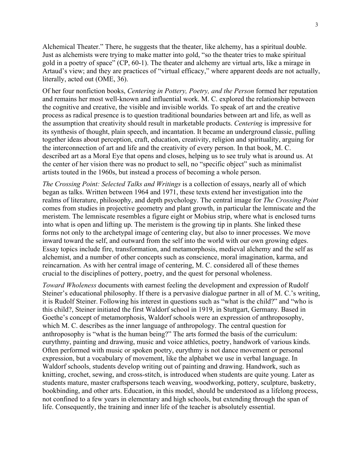Alchemical Theater." There, he suggests that the theater, like alchemy, has a spiritual double. Just as alchemists were trying to make matter into gold, "so the theater tries to make spiritual gold in a poetry of space" (CP, 60-1). The theater and alchemy are virtual arts, like a mirage in Artaud's view; and they are practices of "virtual efficacy," where apparent deeds are not actually, literally, acted out (OME, 36).

Of her four nonfiction books, *Centering in Pottery, Poetry, and the Person* formed her reputation and remains her most well-known and influential work. M. C. explored the relationship between the cognitive and creative, the visible and invisible worlds*.* To speak of art and the creative process as radical presence is to question traditional boundaries between art and life, as well as the assumption that creativity should result in marketable products. *Centering* is impressive for its synthesis of thought, plain speech, and incantation. It became an underground classic, pulling together ideas about perception, craft, education, creativity, religion and spirituality, arguing for the interconnection of art and life and the creativity of every person. In that book, M. C. described art as a Moral Eye that opens and closes, helping us to see truly what is around us. At the center of her vision there was no product to sell, no "specific object" such as minimalist artists touted in the 1960s, but instead a process of becoming a whole person.

*The Crossing Point: Selected Talks and Writings* is a collection of essays, nearly all of which began as talks. Written between 1964 and 1971, these texts extend her investigation into the realms of literature, philosophy, and depth psychology. The central image for *The Crossing Point* comes from studies in projective geometry and plant growth, in particular the lemniscate and the meristem. The lemniscate resembles a figure eight or Mobius strip, where what is enclosed turns into what is open and lifting up. The meristem is the growing tip in plants. She linked these forms not only to the archetypal image of centering clay, but also to inner processes. We move inward toward the self, and outward from the self into the world with our own growing edges. Essay topics include fire, transformation, and metamorphosis, medieval alchemy and the self as alchemist, and a number of other concepts such as conscience, moral imagination, karma, and reincarnation. As with her central image of centering, M. C. considered all of these themes crucial to the disciplines of pottery, poetry, and the quest for personal wholeness.

*Toward Wholeness* documents with earnest feeling the development and expression of Rudolf Steiner's educational philosophy. If there is a pervasive dialogue partner in all of M. C.'s writing, it is Rudolf Steiner. Following his interest in questions such as "what is the child?" and "who is this child?, Steiner initiated the first Waldorf school in 1919, in Stuttgart, Germany. Based in Goethe's concept of metamorphosis, Waldorf schools were an expression of anthroposophy, which M. C. describes as the inner language of anthropology. The central question for anthroposophy is "what is the human being?" The arts formed the basis of the curriculum: eurythmy, painting and drawing, music and voice athletics, poetry, handwork of various kinds. Often performed with music or spoken poetry, eurythmy is not dance movement or personal expression, but a vocabulary of movement, like the alphabet we use in verbal language. In Waldorf schools, students develop writing out of painting and drawing. Handwork, such as knitting, crochet, sewing, and cross-stitch, is introduced when students are quite young. Later as students mature, master craftspersons teach weaving, woodworking, pottery, sculpture, basketry, bookbinding, and other arts. Education, in this model, should be understood as a lifelong process, not confined to a few years in elementary and high schools, but extending through the span of life. Consequently, the training and inner life of the teacher is absolutely essential.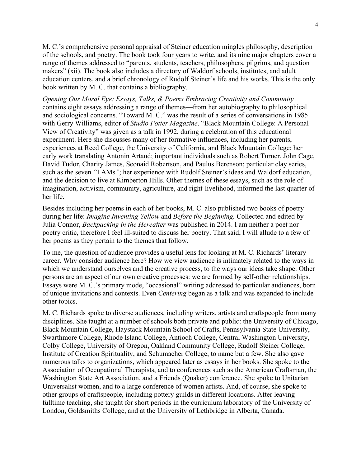M. C.'s comprehensive personal appraisal of Steiner education mingles philosophy, description of the schools, and poetry. The book took four years to write, and its nine major chapters cover a range of themes addressed to "parents, students, teachers, philosophers, pilgrims, and question makers" (xii). The book also includes a directory of Waldorf schools, institutes, and adult education centers, and a brief chronology of Rudolf Steiner's life and his works. This is the only book written by M. C. that contains a bibliography.

*Opening Our Moral Eye: Essays, Talks, & Poems Embracing Creativity and Community* contains eight essays addressing a range of themes—from her autobiography to philosophical and sociological concerns. "Toward M. C." was the result of a series of conversations in 1985 with Gerry Williams, editor of *Studio Potter Magazine*. "Black Mountain College: A Personal View of Creativity" was given as a talk in 1992, during a celebration of this educational experiment. Here she discusses many of her formative influences, including her parents, experiences at Reed College, the University of California, and Black Mountain College; her early work translating Antonin Artaud; important individuals such as Robert Turner, John Cage, David Tudor, Charity James, Seonaid Robertson, and Paulus Berenson; particular clay series, such as the seven *"*I AMs*"*; her experience with Rudolf Steiner's ideas and Waldorf education, and the decision to live at Kimberton Hills. Other themes of these essays, such as the role of imagination, activism, community, agriculture, and right-livelihood, informed the last quarter of her life.

Besides including her poems in each of her books, M. C. also published two books of poetry during her life: *Imagine Inventing Yellow* and *Before the Beginning.* Collected and edited by Julia Connor, *Backpacking in the Hereafter* was published in 2014. I am neither a poet nor poetry critic, therefore I feel ill-suited to discuss her poetry. That said, I will allude to a few of her poems as they pertain to the themes that follow.

To me, the question of audience provides a useful lens for looking at M. C. Richards' literary career. Why consider audience here? How we view audience is intimately related to the ways in which we understand ourselves and the creative process, to the ways our ideas take shape. Other persons are an aspect of our own creative processes: we are formed by self-other relationships. Essays were M. C.'s primary mode, "occasional" writing addressed to particular audiences, born of unique invitations and contexts. Even *Centering* began as a talk and was expanded to include other topics.

M. C. Richards spoke to diverse audiences, including writers, artists and craftspeople from many disciplines. She taught at a number of schools both private and public: the University of Chicago, Black Mountain College, Haystack Mountain School of Crafts, Pennsylvania State University, Swarthmore College, Rhode Island College, Antioch College, Central Washington University, Colby College, University of Oregon, Oakland Community College, Rudolf Steiner College, Institute of Creation Spirituality, and Schumacher College, to name but a few. She also gave numerous talks to organizations, which appeared later as essays in her books. She spoke to the Association of Occupational Therapists, and to conferences such as the American Craftsman, the Washington State Art Association, and a Friends (Quaker) conference. She spoke to Unitarian Universalist women, and to a large conference of women artists. And, of course, she spoke to other groups of craftspeople, including pottery guilds in different locations. After leaving fulltime teaching, she taught for short periods in the curriculum laboratory of the University of London, Goldsmiths College, and at the University of Lethbridge in Alberta, Canada.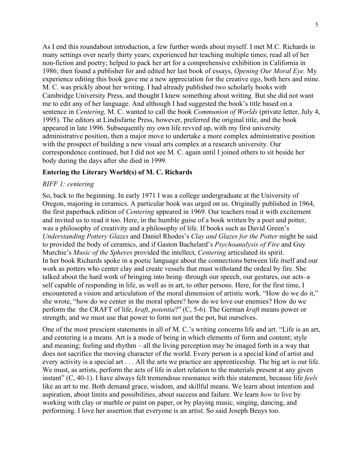As I end this roundabout introduction, a few further words about myself. I met M.C. Richards in many settings over nearly thirty years; experienced her teaching multiple times; read all of her non-fiction and poetry; helped to pack her art for a comprehensive exhibition in California in 1986; then found a publisher for and edited her last book of essays, *Opening Our Moral Eye.* My experience editing this book gave me a new appreciation for the creative ego, both hers and mine. M. C. was prickly about her writing. I had already published two scholarly books with Cambridge University Press, and thought I knew something about writing. But she did not want me to edit any of her language. And although I had suggested the book's title based on a sentence in *Centering,* M. C. wanted to call the book *Communion of Worlds* (private letter, July 4, 1995). The editors at Lindisfarne Press, however, preferred the original title, and the book appeared in late 1996. Subsequently my own life revved up, with my first university administrative position, then a major move to undertake a more complex administrative position with the prospect of building a new visual arts complex at a research university. Our correspondence continued, but I did not see M. C. again until I joined others to sit beside her body during the days after she died in 1999.

# **Entering the Literary World(s) of M. C. Richards**

#### *RIFF 1: centering*

So, back to the beginning. In early 1971 I was a college undergraduate at the University of Oregon, majoring in ceramics. A particular book was urged on us. Originally published in 1964, the first paperback edition of *Centering* appeared in 1969. Our teachers read it with excitement and invited us to read it too. Here, in the humble guise of a book written by a poet and potter, was a philosophy of creativity and a philosophy of life. If books such as David Green's *Understanding Pottery Glazes* and Daniel Rhodes's *Clay and Glazes for the Potter* might be said to provided the body of ceramics, and if Gaston Bachelard's *Psychoanalysis of Fire* and Guy Murchie's *Music of the Spheres* provided the intellect, *Centering* articulated its spirit. In her book Richards spoke in a poetic language about the connections between life itself and our work as potters who center clay and create vessels that must withstand the ordeal by fire. She talked about the hard work of bringing into being–through our speech, our gestures, our acts–a self capable of responding in life, as well as in art, to other persons. Here, for the first time, I encountered a vision and articulation of the moral dimension of artistic work. "How do we do it," she wrote, "how do we center in the moral sphere? how do we love our enemies? How do we perform the the CRAFT of life, *kraft*, *potentia*?" (C, 5-6). The German *kraft* means power or strength; and we must use that power to form not just the pot, but ourselves.

One of the most prescient statements in all of M. C.'s writing concerns life and art. "Life is an art, and centering is a means. Art is a mode of being in which elements of form and content; style and meaning; feeling and rhythm – all the living perception may be imaged forth in a way that does not sacrifice the moving character of the world. Every person is a special kind of artist and every activity is a special art . . . All the arts we practice are apprenticeship. The big art is our life. We must, as artists, perform the acts of life in alert relation to the materials present at any given instant" (C, 40-1). I have always felt tremendous resonance with this statement, because life *feels* like an art to me. Both demand grace, wisdom, and skillful means. We learn about intention and aspiration, about limits and possibilities, about success and failure. We learn *how* to live by working with clay or marble or paint on paper, or by playing music, singing, dancing, and performing. I love her assertion that everyone is an artist. So said Joseph Beuys too.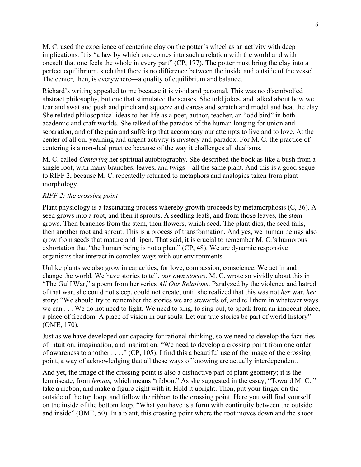M. C. used the experience of centering clay on the potter's wheel as an activity with deep implications. It is "a law by which one comes into such a relation with the world and with oneself that one feels the whole in every part" (CP, 177). The potter must bring the clay into a perfect equilibrium, such that there is no difference between the inside and outside of the vessel. The center, then, is everywhere—a quality of equilibrium and balance.

Richard's writing appealed to me because it is vivid and personal. This was no disembodied abstract philosophy, but one that stimulated the senses. She told jokes, and talked about how we tear and swat and push and pinch and squeeze and caress and scratch and model and beat the clay. She related philosophical ideas to her life as a poet, author, teacher, an "odd bird" in both academic and craft worlds. She talked of the paradox of the human longing for union and separation, and of the pain and suffering that accompany our attempts to live and to love. At the center of all our yearning and urgent activity is mystery and paradox. For M. C. the practice of centering is a non-dual practice because of the way it challenges all dualisms.

M. C. called *Centering* her spiritual autobiography. She described the book as like a bush from a single root, with many branches, leaves, and twigs—all the same plant. And this is a good segue to RIFF 2, because M. C. repeatedly returned to metaphors and analogies taken from plant morphology.

# *RIFF 2: the crossing point*

Plant physiology is a fascinating process whereby growth proceeds by metamorphosis (C, 36). A seed grows into a root, and then it sprouts. A seedling leafs, and from those leaves, the stem grows. Then branches from the stem, then flowers, which seed. The plant dies, the seed falls, then another root and sprout. This is a process of transformation. And yes, we human beings also grow from seeds that mature and ripen. That said, it is crucial to remember M. C.'s humorous exhortation that "the human being is not a plant" (CP, 48). We are dynamic responsive organisms that interact in complex ways with our environments.

Unlike plants we also grow in capacities, for love, compassion, conscience. We act in and change the world. We have stories to tell, *our own stories*. M. C. wrote so vividly about this in "The Gulf War," a poem from her series *All Our Relations*. Paralyzed by the violence and hatred of that war, she could not sleep, could not create, until she realized that this was not *her* war, *her*  story: "We should try to remember the stories we are stewards of, and tell them in whatever ways we can . . . We do not need to fight. We need to sing, to sing out, to speak from an innocent place, a place of freedom. A place of vision in our souls. Let our true stories be part of world history" (OME, 170).

Just as we have developed our capacity for rational thinking, so we need to develop the faculties of intuition, imagination, and inspiration. "We need to develop a crossing point from one order of awareness to another . . . ." (CP, 105). I find this a beautiful use of the image of the crossing point, a way of acknowledging that all these ways of knowing are actually interdependent.

And yet, the image of the crossing point is also a distinctive part of plant geometry; it is the lemniscate, from *lemnis,* which means "ribbon." As she suggested in the essay, "Toward M. C.," take a ribbon, and make a figure eight with it. Hold it upright. Then, put your finger on the outside of the top loop, and follow the ribbon to the crossing point. Here you will find yourself on the inside of the bottom loop. "What you have is a form with continuity between the outside and inside" (OME, 50). In a plant, this crossing point where the root moves down and the shoot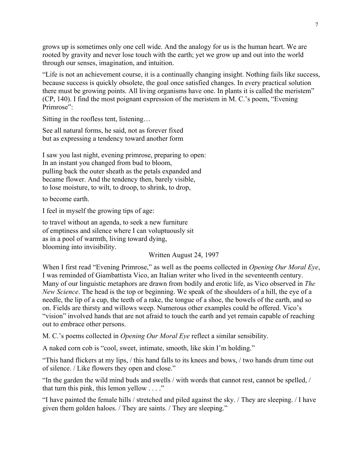grows up is sometimes only one cell wide. And the analogy for us is the human heart. We are rooted by gravity and never lose touch with the earth; yet we grow up and out into the world through our senses, imagination, and intuition.

"Life is not an achievement course, it is a continually changing insight. Nothing fails like success, because success is quickly obsolete, the goal once satisfied changes. In every practical solution there must be growing points. All living organisms have one. In plants it is called the meristem" (CP, 140). I find the most poignant expression of the meristem in M. C.'s poem, "Evening Primrose":

Sitting in the roofless tent, listening…

See all natural forms, he said, not as forever fixed but as expressing a tendency toward another form

I saw you last night, evening primrose, preparing to open: In an instant you changed from bud to bloom, pulling back the outer sheath as the petals expanded and became flower. And the tendency then, barely visible, to lose moisture, to wilt, to droop, to shrink, to drop,

to become earth.

I feel in myself the growing tips of age:

to travel without an agenda, to seek a new furniture of emptiness and silence where I can voluptuously sit as in a pool of warmth, living toward dying, blooming into invisibility.

Written August 24, 1997

When I first read "Evening Primrose," as well as the poems collected in *Opening Our Moral Eye*, I was reminded of Giambattista Vico, an Italian writer who lived in the seventeenth century. Many of our linguistic metaphors are drawn from bodily and erotic life, as Vico observed in *The New Science*. The head is the top or beginning. We speak of the shoulders of a hill, the eye of a needle, the lip of a cup, the teeth of a rake, the tongue of a shoe, the bowels of the earth, and so on. Fields are thirsty and willows weep. Numerous other examples could be offered. Vico's "vision" involved hands that are not afraid to touch the earth and yet remain capable of reaching out to embrace other persons.

M. C.'s poems collected in *Opening Our Moral Eye* reflect a similar sensibility.

A naked corn cob is "cool, sweet, intimate, smooth, like skin I'm holding."

"This hand flickers at my lips, / this hand falls to its knees and bows, / two hands drum time out of silence. / Like flowers they open and close."

"In the garden the wild mind buds and swells / with words that cannot rest, cannot be spelled, / that turn this pink, this lemon yellow  $\dots$ ."

"I have painted the female hills / stretched and piled against the sky. / They are sleeping. / I have given them golden haloes. / They are saints. / They are sleeping."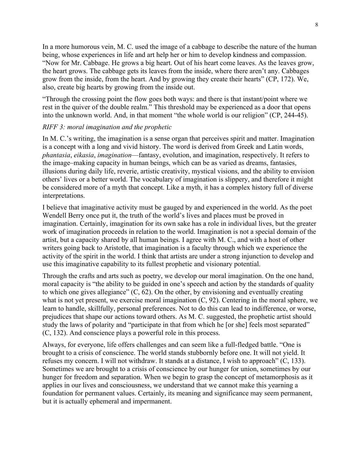In a more humorous vein, M. C. used the image of a cabbage to describe the nature of the human being, whose experiences in life and art help her or him to develop kindness and compassion. "Now for Mr. Cabbage. He grows a big heart. Out of his heart come leaves. As the leaves grow, the heart grows. The cabbage gets its leaves from the inside, where there aren't any. Cabbages grow from the inside, from the heart. And by growing they create their hearts" (CP, 172). We, also, create big hearts by growing from the inside out.

"Through the crossing point the flow goes both ways: and there is that instant/point where we rest in the quiver of the double realm." This threshold may be experienced as a door that opens into the unknown world. And, in that moment "the whole world is our religion" (CP, 244-45).

# *RIFF 3: moral imagination and the prophetic*

In M. C.'s writing, the imagination is a sense organ that perceives spirit and matter. Imagination is a concept with a long and vivid history. The word is derived from Greek and Latin words, *phantasia*, *eikasia*, *imagination*—fantasy, evolution, and imagination, respectively. It refers to the image–making capacity in human beings, which can be as varied as dreams, fantasies, illusions during daily life, reverie, artistic creativity, mystical visions, and the ability to envision others' lives or a better world. The vocabulary of imagination is slippery, and therefore it might be considered more of a myth that concept. Like a myth, it has a complex history full of diverse interpretations.

I believe that imaginative activity must be gauged by and experienced in the world. As the poet Wendell Berry once put it, the truth of the world's lives and places must be proved in imagination. Certainly, imagination for its own sake has a role in individual lives, but the greater work of imagination proceeds in relation to the world. Imagination is not a special domain of the artist, but a capacity shared by all human beings. I agree with M. C., and with a host of other writers going back to Aristotle, that imagination is a faculty through which we experience the activity of the spirit in the world. I think that artists are under a strong injunction to develop and use this imaginative capability to its fullest prophetic and visionary potential.

Through the crafts and arts such as poetry, we develop our moral imagination. On the one hand, moral capacity is "the ability to be guided in one's speech and action by the standards of quality to which one gives allegiance"  $(C, 62)$ . On the other, by envisioning and eventually creating what is not yet present, we exercise moral imagination (C, 92). Centering in the moral sphere, we learn to handle, skillfully, personal preferences. Not to do this can lead to indifference, or worse, prejudices that shape our actions toward others. As M. C. suggested, the prophetic artist should study the laws of polarity and "participate in that from which he [or she] feels most separated" (C, 132). And conscience plays a powerful role in this process.

Always, for everyone, life offers challenges and can seem like a full-fledged battle. "One is brought to a crisis of conscience. The world stands stubbornly before one. It will not yield. It refuses my concern. I will not withdraw. It stands at a distance, I wish to approach" (C, 133). Sometimes we are brought to a crisis of conscience by our hunger for union, sometimes by our hunger for freedom and separation. When we begin to grasp the concept of metamorphosis as it applies in our lives and consciousness, we understand that we cannot make this yearning a foundation for permanent values. Certainly, its meaning and significance may seem permanent, but it is actually ephemeral and impermanent.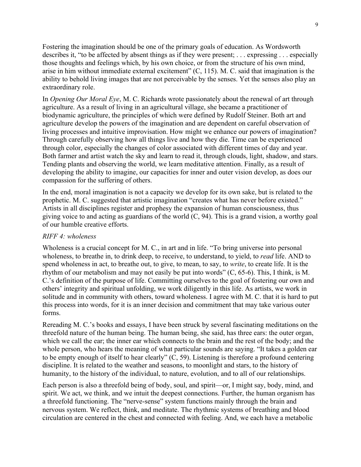Fostering the imagination should be one of the primary goals of education. As Wordsworth describes it, "to be affected by absent things as if they were present; . . . expressing . . . especially those thoughts and feelings which, by his own choice, or from the structure of his own mind, arise in him without immediate external excitement" (C, 115). M. C. said that imagination is the ability to behold living images that are not perceivable by the senses. Yet the senses also play an extraordinary role.

In *Opening Our Moral Eye*, M. C. Richards wrote passionately about the renewal of art through agriculture. As a result of living in an agricultural village, she became a practitioner of biodynamic agriculture, the principles of which were defined by Rudolf Steiner. Both art and agriculture develop the powers of the imagination and are dependent on careful observation of living processes and intuitive improvisation. How might we enhance our powers of imagination? Through carefully observing how all things live and how they die. Time can be experienced through color, especially the changes of color associated with different times of day and year. Both farmer and artist watch the sky and learn to read it, through clouds, light, shadow, and stars. Tending plants and observing the world, we learn meditative attention. Finally, as a result of developing the ability to imagine, our capacities for inner and outer vision develop, as does our compassion for the suffering of others.

In the end, moral imagination is not a capacity we develop for its own sake, but is related to the prophetic. M. C. suggested that artistic imagination "creates what has never before existed." Artists in all disciplines register and prophesy the expansion of human consciousness, thus giving voice to and acting as guardians of the world (C, 94). This is a grand vision, a worthy goal of our humble creative efforts.

### *RIFF 4: wholeness*

Wholeness is a crucial concept for M. C., in art and in life. "To bring universe into personal wholeness, to breathe in, to drink deep, to receive, to understand, to yield, to *read* life. AND to spend wholeness in act, to breathe out, to give, to mean, to say, to *write*, to create life. It is the rhythm of our metabolism and may not easily be put into words" (C, 65-6). This, I think, is M. C.'s definition of the purpose of life. Committing ourselves to the goal of fostering our own and others' integrity and spiritual unfolding, we work diligently in this life. As artists, we work in solitude and in community with others, toward wholeness. I agree with M. C. that it is hard to put this process into words, for it is an inner decision and commitment that may take various outer forms.

Rereading M. C.'s books and essays, I have been struck by several fascinating meditations on the threefold nature of the human being. The human being, she said, has three ears: the outer organ, which we call the ear; the inner ear which connects to the brain and the rest of the body; and the whole person, who hears the meaning of what particular sounds are saying. "It takes a golden ear to be empty enough of itself to hear clearly" (C, 59). Listening is therefore a profound centering discipline. It is related to the weather and seasons, to moonlight and stars, to the history of humanity, to the history of the individual, to nature, evolution, and to all of our relationships.

Each person is also a threefold being of body, soul, and spirit—or, I might say, body, mind, and spirit. We act, we think, and we intuit the deepest connections. Further, the human organism has a threefold functioning. The "nerve-sense" system functions mainly through the brain and nervous system. We reflect, think, and meditate. The rhythmic systems of breathing and blood circulation are centered in the chest and connected with feeling. And, we each have a metabolic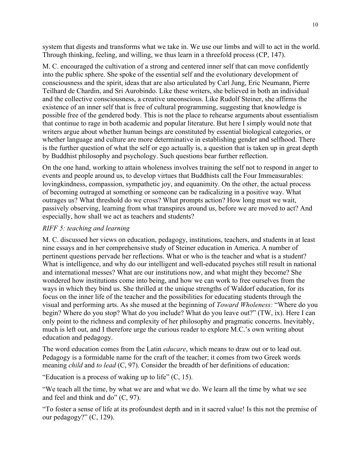system that digests and transforms what we take in. We use our limbs and will to act in the world. Through thinking, feeling, and willing, we thus learn in a threefold process (CP, 147).

M. C. encouraged the cultivation of a strong and centered inner self that can move confidently into the public sphere. She spoke of the essential self and the evolutionary development of consciousness and the spirit, ideas that are also articulated by Carl Jung, Eric Neumann, Pierre Teilhard de Chardin, and Sri Aurobindo. Like these writers, she believed in both an individual and the collective consciousness, a creative unconscious. Like Rudolf Steiner, she affirms the existence of an inner self that is free of cultural programming, suggesting that knowledge is possible free of the gendered body. This is not the place to rehearse arguments about essentialism that continue to rage in both academic and popular literature. But here I simply would note that writers argue about whether human beings are constituted by essential biological categories, or whether language and culture are more determinative in establishing gender and selfhood. There is the further question of what the self or ego actually is, a question that is taken up in great depth by Buddhist philosophy and psychology. Such questions bear further reflection.

On the one hand, working to attain wholeness involves training the self not to respond in anger to events and people around us, to develop virtues that Buddhists call the Four Immeasurables: lovingkindness, compassion, sympathetic joy, and equanimity. On the other, the actual process of becoming outraged at something or someone can be radicalizing in a positive way. What outrages us? What threshold do we cross? What prompts action? How long must we wait, passively observing, learning from what transpires around us, before we are moved to act? And especially, how shall we act as teachers and students?

# *RIFF 5: teaching and learning*

M. C. discussed her views on education, pedagogy, institutions, teachers, and students in at least nine essays and in her comprehensive study of Steiner education in America. A number of pertinent questions pervade her reflections. What or who is the teacher and what is a student? What is intelligence, and why do our intelligent and well-educated psyches still result in national and international messes? What are our institutions now, and what might they become? She wondered how institutions come into being, and how we can work to free ourselves from the ways in which they bind us. She thrilled at the unique strengths of Waldorf education, for its focus on the inner life of the teacher and the possibilities for educating students through the visual and performing arts. As she mused at the beginning of *Toward Wholeness:* "Where do you begin? Where do you stop? What do you include? What do you leave out?" (TW, ix). Here I can only point to the richness and complexity of her philosophy and pragmatic concerns. Inevitably, much is left out, and I therefore urge the curious reader to explore M.C.'s own writing about education and pedagogy.

The word education comes from the Latin *educare*, which means to draw out or to lead out. Pedagogy is a formidable name for the craft of the teacher; it comes from two Greek words meaning *child* and *to lead* (C, 97). Consider the breadth of her definitions of education:

"Education is a process of waking up to life"  $(C, 15)$ .

"We teach all the time, by what we are and what we do. We learn all the time by what we see and feel and think and do" (C, 97).

"To foster a sense of life at its profoundest depth and in it sacred value! Is this not the premise of our pedagogy?" (C, 129).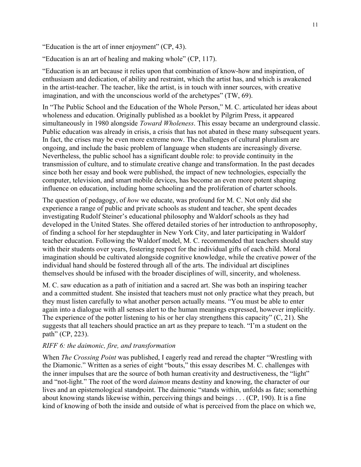"Education is the art of inner enjoyment" (CP, 43).

"Education is an art of healing and making whole" (CP, 117).

"Education is an art because it relies upon that combination of know-how and inspiration, of enthusiasm and dedication, of ability and restraint, which the artist has, and which is awakened in the artist-teacher. The teacher, like the artist, is in touch with inner sources, with creative imagination, and with the unconscious world of the archetypes" (TW, 69).

In "The Public School and the Education of the Whole Person," M. C. articulated her ideas about wholeness and education. Originally published as a booklet by Pilgrim Press, it appeared simultaneously in 1980 alongside *Toward Wholeness*. This essay became an underground classic. Public education was already in crisis, a crisis that has not abated in these many subsequent years. In fact, the crises may be even more extreme now. The challenges of cultural pluralism are ongoing, and include the basic problem of language when students are increasingly diverse. Nevertheless, the public school has a significant double role: to provide continuity in the transmission of culture, and to stimulate creative change and transformation. In the past decades since both her essay and book were published, the impact of new technologies, especially the computer, television, and smart mobile devices, has become an even more potent shaping influence on education, including home schooling and the proliferation of charter schools.

The question of pedagogy, of *how* we educate, was profound for M. C. Not only did she experience a range of public and private schools as student and teacher, she spent decades investigating Rudolf Steiner's educational philosophy and Waldorf schools as they had developed in the United States. She offered detailed stories of her introduction to anthroposophy, of finding a school for her stepdaughter in New York City, and later participating in Waldorf teacher education. Following the Waldorf model, M. C. recommended that teachers should stay with their students over years, fostering respect for the individual gifts of each child. Moral imagination should be cultivated alongside cognitive knowledge, while the creative power of the individual hand should be fostered through all of the arts. The individual art disciplines themselves should be infused with the broader disciplines of will, sincerity, and wholeness.

M. C. saw education as a path of initiation and a sacred art. She was both an inspiring teacher and a committed student. She insisted that teachers must not only practice what they preach, but they must listen carefully to what another person actually means. "You must be able to enter again into a dialogue with all senses alert to the human meanings expressed, however implicitly. The experience of the potter listening to his or her clay strengthens this capacity" (C, 21). She suggests that all teachers should practice an art as they prepare to teach. "I'm a student on the path" (CP, 223).

#### *RIFF 6: the daimonic, fire, and transformation*

When *The Crossing Point* was published, I eagerly read and reread the chapter "Wrestling with the Diamonic." Written as a series of eight "bouts," this essay describes M. C. challenges with the inner impulses that are the source of both human creativity and destructiveness, the "light" and "not-light." The root of the word *daimon* means destiny and knowing, the character of our lives and an epistemological standpoint. The daimonic "stands within, unfolds as fate; something about knowing stands likewise within, perceiving things and beings . . . (CP, 190). It is a fine kind of knowing of both the inside and outside of what is perceived from the place on which we,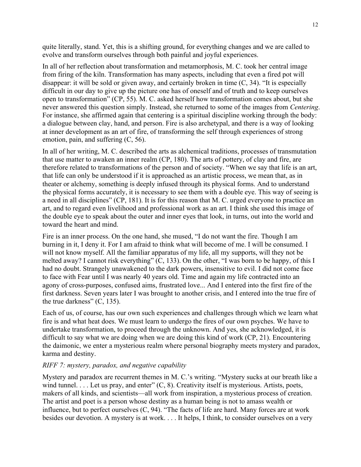quite literally, stand. Yet, this is a shifting ground, for everything changes and we are called to evolve and transform ourselves through both painful and joyful experiences.

In all of her reflection about transformation and metamorphosis, M. C. took her central image from firing of the kiln. Transformation has many aspects, including that even a fired pot will disappear: it will be sold or given away, and certainly broken in time (C, 34). "It is especially difficult in our day to give up the picture one has of oneself and of truth and to keep ourselves open to transformation" (CP, 55). M. C. asked herself how transformation comes about, but she never answered this question simply. Instead, she returned to some of the images from *Centering*. For instance, she affirmed again that centering is a spiritual discipline working through the body: a dialogue between clay, hand, and person. Fire is also archetypal, and there is a way of looking at inner development as an art of fire, of transforming the self through experiences of strong emotion, pain, and suffering (C, 56).

In all of her writing, M. C. described the arts as alchemical traditions, processes of transmutation that use matter to awaken an inner realm (CP, 180). The arts of pottery, of clay and fire, are therefore related to transformations of the person and of society. "When we say that life is an art, that life can only be understood if it is approached as an artistic process, we mean that, as in theater or alchemy, something is deeply infused through its physical forms. And to understand the physical forms accurately, it is necessary to see them with a double eye. This way of seeing is a need in all disciplines" (CP, 181). It is for this reason that M. C. urged everyone to practice an art, and to regard even livelihood and professional work as an art. I think she used this image of the double eye to speak about the outer and inner eyes that look, in turns, out into the world and toward the heart and mind.

Fire is an inner process. On the one hand, she mused, "I do not want the fire. Though I am burning in it, I deny it. For I am afraid to think what will become of me. I will be consumed. I will not know myself. All the familiar apparatus of my life, all my supports, will they not be melted away? I cannot risk everything" (C, 133). On the other, "I was born to be happy, of this I had no doubt. Strangely unawakened to the dark powers, insensitive to evil. I did not come face to face with Fear until I was nearly 40 years old. Time and again my life contracted into an agony of cross-purposes, confused aims, frustrated love... And I entered into the first fire of the first darkness. Seven years later I was brought to another crisis, and I entered into the true fire of the true darkness"  $(C, 135)$ .

Each of us, of course, has our own such experiences and challenges through which we learn what fire is and what heat does. We must learn to undergo the fires of our own psyches. We have to undertake transformation, to proceed through the unknown. And yes, she acknowledged, it is difficult to say what we are doing when we are doing this kind of work (CP, 21). Encountering the daimonic, we enter a mysterious realm where personal biography meets mystery and paradox, karma and destiny.

# *RIFF 7: mystery, paradox, and negative capability*

Mystery and paradox are recurrent themes in M. C.'s writing. "Mystery sucks at our breath like a wind tunnel. . . . Let us pray, and enter"  $(C, 8)$ . Creativity itself is mysterious. Artists, poets, makers of all kinds, and scientists—all work from inspiration, a mysterious process of creation. The artist and poet is a person whose destiny as a human being is not to amass wealth or influence, but to perfect ourselves (C, 94). "The facts of life are hard. Many forces are at work besides our devotion. A mystery is at work. . . . It helps, I think, to consider ourselves on a very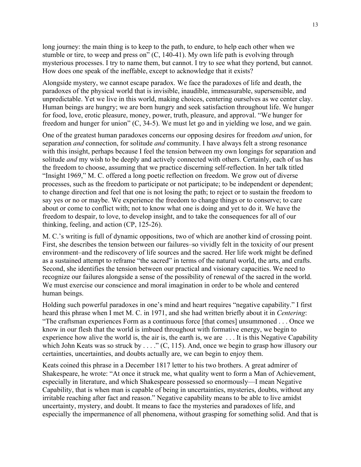long journey: the main thing is to keep to the path, to endure, to help each other when we stumble or tire, to weep and press on" (C, 140-41). My own life path is evolving through mysterious processes. I try to name them, but cannot. I try to see what they portend, but cannot. How does one speak of the ineffable, except to acknowledge that it exists?

Alongside mystery, we cannot escape paradox. We face the paradoxes of life and death, the paradoxes of the physical world that is invisible, inaudible, immeasurable, supersensible, and unpredictable. Yet we live in this world, making choices, centering ourselves as we center clay. Human beings are hungry; we are born hungry and seek satisfaction throughout life. We hunger for food, love, erotic pleasure, money, power, truth, pleasure, and approval. "We hunger for freedom and hunger for union" (C, 34-5). We must let go and in yielding we lose, and we gain.

One of the greatest human paradoxes concerns our opposing desires for freedom *and* union, for separation *and* connection, for solitude *and* community. I have always felt a strong resonance with this insight, perhaps because I feel the tension between my own longings for separation and solitude *and* my wish to be deeply and actively connected with others. Certainly, each of us has the freedom to choose, assuming that we practice discerning self-reflection. In her talk titled "Insight 1969," M. C. offered a long poetic reflection on freedom. We grow out of diverse processes, such as the freedom to participate or not participate; to be independent or dependent; to change direction and feel that one is not losing the path; to reject or to sustain the freedom to say yes or no or maybe. We experience the freedom to change things or to conserve; to care about or come to conflict with; not to know what one is doing and yet to do it. We have the freedom to despair, to love, to develop insight, and to take the consequences for all of our thinking, feeling, and action (CP, 125-26).

M. C.'s writing is full of dynamic oppositions, two of which are another kind of crossing point. First, she describes the tension between our failures–so vividly felt in the toxicity of our present environment–and the rediscovery of life sources and the sacred. Her life work might be defined as a sustained attempt to reframe "the sacred" in terms of the natural world, the arts, and crafts. Second, she identifies the tension between our practical and visionary capacities. We need to recognize our failures alongside a sense of the possibility of renewal of the sacred in the world. We must exercise our conscience and moral imagination in order to be whole and centered human beings.

Holding such powerful paradoxes in one's mind and heart requires "negative capability." I first heard this phrase when I met M. C. in 1971, and she had written briefly about it in *Centering*: "The craftsman experiences Form as a continuous force [that comes] unsummoned . . . Once we know in our flesh that the world is imbued throughout with formative energy, we begin to experience how alive the world is, the air is, the earth is, we are . . . It is this Negative Capability which John Keats was so struck by . . . ." (C, 115). And, once we begin to grasp how illusory our certainties, uncertainties, and doubts actually are, we can begin to enjoy them.

Keats coined this phrase in a December 1817 letter to his two brothers. A great admirer of Shakespeare, he wrote: "At once it struck me, what quality went to form a Man of Achievement, especially in literature, and which Shakespeare possessed so enormously—I mean Negative Capability, that is when man is capable of being in uncertainties, mysteries, doubts, without any irritable reaching after fact and reason." Negative capability means to be able to live amidst uncertainty, mystery, and doubt. It means to face the mysteries and paradoxes of life, and especially the impermanence of all phenomena, without grasping for something solid. And that is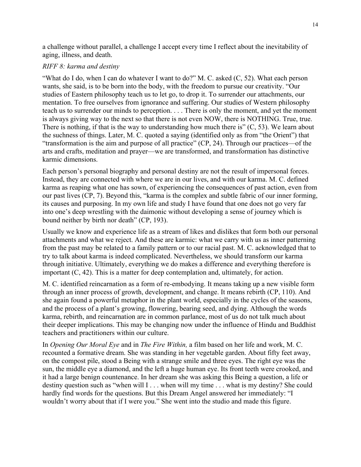a challenge without parallel, a challenge I accept every time I reflect about the inevitability of aging, illness, and death.

# *RIFF 8: karma and destiny*

"What do I do, when I can do whatever I want to do?" M. C. asked (C, 52). What each person wants, she said, is to be born into the body, with the freedom to pursue our creativity. "Our studies of Eastern philosophy teach us to let go, to drop it. To surrender our attachments, our mentation. To free ourselves from ignorance and suffering. Our studies of Western philosophy teach us to surrender our minds to perception. . . . There is only the moment, and yet the moment is always giving way to the next so that there is not even NOW, there is NOTHING. True, true. There is nothing, if that is the way to understanding how much there is"  $(C, 53)$ . We learn about the suchness of things. Later, M. C. quoted a saying (identified only as from "the Orient") that "transformation is the aim and purpose of all practice" (CP, 24). Through our practices—of the arts and crafts, meditation and prayer—we are transformed, and transformation has distinctive karmic dimensions.

Each person's personal biography and personal destiny are not the result of impersonal forces. Instead, they are connected with where we are in our lives, and with our karma. M. C. defined karma as reaping what one has sown, of experiencing the consequences of past action, even from our past lives (CP, 7). Beyond this, "karma is the complex and subtle fabric of our inner forming, its causes and purposing. In my own life and study I have found that one does not go very far into one's deep wrestling with the daimonic without developing a sense of journey which is bound neither by birth nor death" (CP, 193).

Usually we know and experience life as a stream of likes and dislikes that form both our personal attachments and what we reject. And these are karmic: what we carry with us as inner patterning from the past may be related to a family pattern or to our racial past. M. C. acknowledged that to try to talk about karma is indeed complicated. Nevertheless, we should transform our karma through initiative. Ultimately, everything we do makes a difference and everything therefore is important (C, 42). This is a matter for deep contemplation and, ultimately, for action.

M. C. identified reincarnation as a form of re-embodying. It means taking up a new visible form through an inner process of growth, development, and change. It means rebirth (CP, 110). And she again found a powerful metaphor in the plant world, especially in the cycles of the seasons, and the process of a plant's growing, flowering, bearing seed, and dying. Although the words karma, rebirth, and reincarnation are in common parlance, most of us do not talk much about their deeper implications. This may be changing now under the influence of Hindu and Buddhist teachers and practitioners within our culture.

In *Opening Our Moral Eye* and in *The Fire Within,* a film based on her life and work, M. C. recounted a formative dream. She was standing in her vegetable garden. About fifty feet away, on the compost pile, stood a Being with a strange smile and three eyes. The right eye was the sun, the middle eye a diamond, and the left a huge human eye. Its front teeth were crooked, and it had a large benign countenance. In her dream she was asking this Being a question, a life or destiny question such as "when will I . . . when will my time . . . what is my destiny? She could hardly find words for the questions. But this Dream Angel answered her immediately: "I wouldn't worry about that if I were you." She went into the studio and made this figure.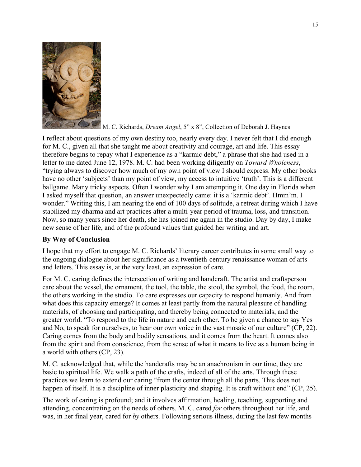

M. C. Richards, *Dream Angel*, 5" x 8", Collection of Deborah J. Haynes

I reflect about questions of my own destiny too, nearly every day. I never felt that I did enough for M. C., given all that she taught me about creativity and courage, art and life. This essay therefore begins to repay what I experience as a "karmic debt," a phrase that she had used in a letter to me dated June 12, 1978. M. C. had been working diligently on *Toward Wholeness*, "trying always to discover how much of my own point of view I should express. My other books have no other 'subjects' than my point of view, my access to intuitive 'truth'. This is a different ballgame. Many tricky aspects. Often I wonder why I am attempting it. One day in Florida when I asked myself that question, an answer unexpectedly came: it is a 'karmic debt'. Hmm'm. I wonder." Writing this, I am nearing the end of 100 days of solitude, a retreat during which I have stabilized my dharma and art practices after a multi-year period of trauma, loss, and transition. Now, so many years since her death, she has joined me again in the studio. Day by day, I make new sense of her life, and of the profound values that guided her writing and art.

# **By Way of Conclusion**

I hope that my effort to engage M. C. Richards' literary career contributes in some small way to the ongoing dialogue about her significance as a twentieth-century renaissance woman of arts and letters. This essay is, at the very least, an expression of care.

For M. C. caring defines the intersection of writing and handcraft. The artist and craftsperson care about the vessel, the ornament, the tool, the table, the stool, the symbol, the food, the room, the others working in the studio. To care expresses our capacity to respond humanly. And from what does this capacity emerge? It comes at least partly from the natural pleasure of handling materials, of choosing and participating, and thereby being connected to materials, and the greater world. "To respond to the life in nature and each other. To be given a chance to say Yes and No, to speak for ourselves, to hear our own voice in the vast mosaic of our culture" (CP, 22). Caring comes from the body and bodily sensations, and it comes from the heart. It comes also from the spirit and from conscience, from the sense of what it means to live as a human being in a world with others (CP, 23).

M. C. acknowledged that, while the handcrafts may be an anachronism in our time, they are basic to spiritual life. We walk a path of the crafts, indeed of all of the arts. Through these practices we learn to extend our caring "from the center through all the parts. This does not happen of itself. It is a discipline of inner plasticity and shaping. It is craft without end" (CP, 25).

The work of caring is profound; and it involves affirmation, healing, teaching, supporting and attending, concentrating on the needs of others. M. C. cared *for* others throughout her life, and was, in her final year, cared for *by* others. Following serious illness, during the last few months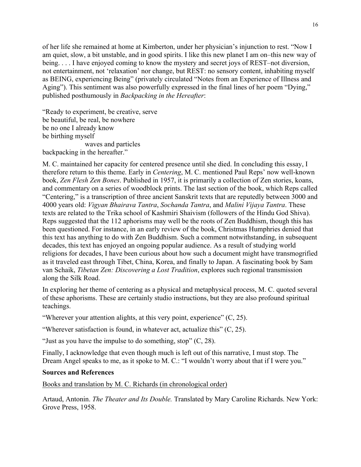of her life she remained at home at Kimberton, under her physician's injunction to rest. "Now I am quiet, slow, a bit unstable, and in good spirits. I like this new planet I am on–this new way of being. . . . I have enjoyed coming to know the mystery and secret joys of REST–not diversion, not entertainment, not 'relaxation' nor change, but REST: no sensory content, inhabiting myself as BEING, experiencing Being" (privately circulated "Notes from an Experience of Illness and Aging"). This sentiment was also powerfully expressed in the final lines of her poem "Dying," published posthumously in *Backpacking in the Hereafter*:

"Ready to experiment, be creative, serve be beautiful, be real, be nowhere be no one I already know be birthing myself waves and particles backpacking in the hereafter."

M. C. maintained her capacity for centered presence until she died. In concluding this essay, I therefore return to this theme. Early in *Centering*, M. C. mentioned Paul Reps' now well-known book, *Zen Flesh Zen Bones*. Published in 1957, it is primarily a collection of Zen stories, koans, and commentary on a series of woodblock prints. The last section of the book, which Reps called "Centering," is a transcription of three ancient Sanskrit texts that are reputedly between 3000 and 4000 years old: *Vigyan Bhairava Tantra*, *Sochanda Tantra*, and *Malini Vijaya Tantra*. These texts are related to the Trika school of Kashmiri Shaivism (followers of the Hindu God Shiva). Reps suggested that the 112 aphorisms may well be the roots of Zen Buddhism, though this has been questioned. For instance, in an early review of the book, Christmas Humphries denied that this text has anything to do with Zen Buddhism. Such a comment notwithstanding, in subsequent decades, this text has enjoyed an ongoing popular audience. As a result of studying world religions for decades, I have been curious about how such a document might have transmogrified as it traveled east through Tibet, China, Korea, and finally to Japan. A fascinating book by Sam van Schaik, *Tibetan Zen: Discovering a Lost Tradition*, explores such regional transmission along the Silk Road.

In exploring her theme of centering as a physical and metaphysical process, M. C. quoted several of these aphorisms. These are certainly studio instructions, but they are also profound spiritual teachings.

"Wherever your attention alights, at this very point, experience"  $(C, 25)$ .

"Wherever satisfaction is found, in whatever act, actualize this" (C, 25).

"Just as you have the impulse to do something, stop" (C, 28).

Finally, I acknowledge that even though much is left out of this narrative, I must stop. The Dream Angel speaks to me, as it spoke to M. C.: "I wouldn't worry about that if I were you."

#### **Sources and References**

Books and translation by M. C. Richards (in chronological order)

Artaud, Antonin. *The Theater and Its Double.* Translated by Mary Caroline Richards. New York: Grove Press, 1958.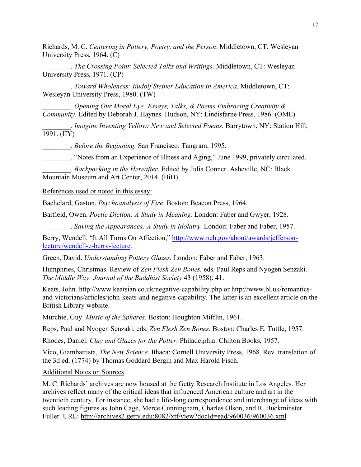Richards, M. C. *Centering in Pottery, Poetry, and the Person*. Middletown, CT: Wesleyan University Press, 1964. (C)

*\_\_\_\_\_\_\_\_. The Crossing Point: Selected Talks and Writings.* Middletown, CT: Wesleyan University Press, 1971. (CP)

*\_\_\_\_\_\_\_\_. Toward Wholeness: Rudolf Steiner Education in America.* Middletown, CT: Wesleyan University Press, 1980. (TW)

*\_\_\_\_\_\_\_\_. Opening Our Moral Eye: Essays, Talks, & Poems Embracing Creativity & Community.* Edited by Deborah J. Haynes. Hudson, NY: Lindisfarne Press, 1986. (OME)

*\_\_\_\_\_\_\_\_. Imagine Inventing Yellow: New and Selected Poems.* Barrytown, NY: Station Hill,  $\overline{1991}$ . (IIY)

*\_\_\_\_\_\_\_\_. Before the Beginning.* San Francisco: Tangram, 1995.

\_\_\_\_\_\_\_\_. "Notes from an Experience of Illness and Aging," June 1999, privately circulated.

*\_\_\_\_\_\_\_\_. Backpacking in the Hereafter*. Edited by Julia Conner. Asheville, NC: Black Mountain Museum and Art Center, 2014. (BiH)

References used or noted in this essay:

Bachelard, Gaston. *Psychoanalysis of Fire*. Boston: Beacon Press, 1964.

Barfield, Owen. *Poetic Diction: A Study in Meaning.* London: Faber and Gwyer, 1928.

\_\_\_\_\_\_\_\_. *Saving the Appearances: A Study in Idolatry.* London: Faber and Faber, 1957.

Berry, Wendell. "It All Turns On Affection," http://www.neh.gov/about/awards/jeffersonlecture/wendell-e-berry-lecture.

Green, David. *Understanding Pottery Glazes.* London: Faber and Faber, 1963.

Humphries, Christmas. Review of *Zen Flesh Zen Bones,* eds. Paul Reps and Nyogen Senzaki. *The Middle Way: Journal of the Buddhist Society* 43 (1958): 41.

Keats, John. http://www.keatsian.co.uk/negative-capability.php or http://www.bl.uk/romanticsand-victorians/articles/john-keats-and-negative-capability. The latter is an excellent article on the British Library website.

Murchie, Guy. *Music of the Spheres.* Boston: Houghton Mifflin, 1961.

Reps, Paul and Nyogen Senzaki, eds. *Zen Flesh Zen Bones.* Boston: Charles E. Tuttle, 1957.

Rhodes, Daniel. *Clay and Glazes for the Potter*. Philadelphia: Chilton Books, 1957.

Vico, Giambattista, *The New Science*. Ithaca: Cornell University Press, 1968. Rev. translation of the 3d ed. (1774) by Thomas Goddard Bergin and Max Harold Fisch.

Additional Notes on Sources

M. C. Richards' archives are now housed at the Getty Research Institute in Los Angeles. Her archives reflect many of the critical ideas that influenced American culture and art in the twentieth century. For instance, she had a life-long correspondence and interchange of ideas with such leading figures as John Cage, Merce Cunningham, Charles Olson, and R. Buckminster Fuller. URL: http://archives2.getty.edu:8082/xtf/view?docId=ead/960036/960036.xml